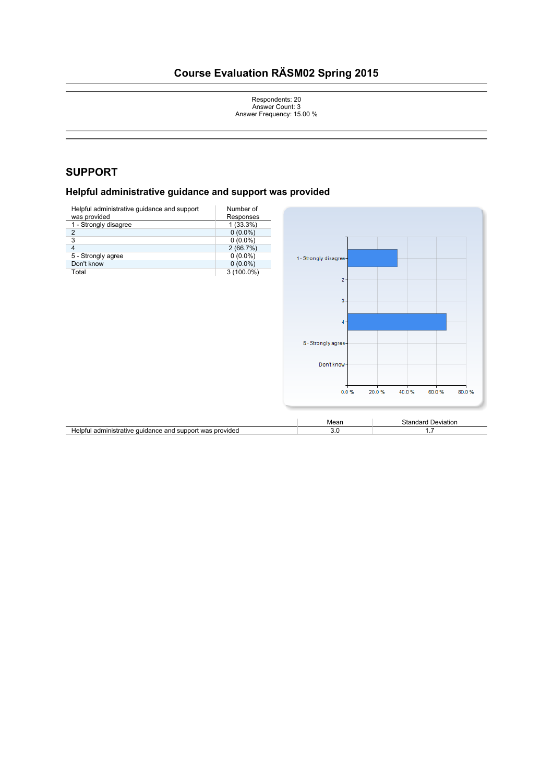# **Course Evaluation RÄSM02 Spring 2015**

Respondents: 20 Answer Count: 3 Answer Frequency: 15.00 %

# **SUPPORT**

# **Helpful administrative guidance and support was provided**

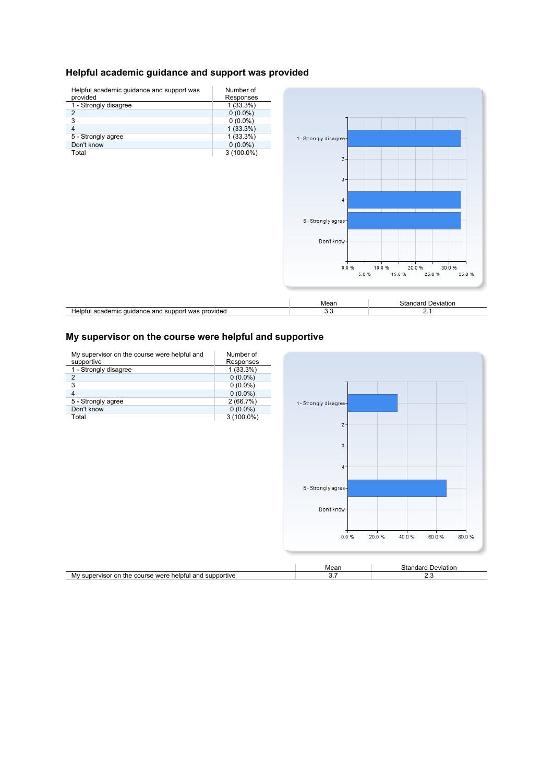#### **Helpful academic guidance and support was provided**



### **My supervisor on the course were helpful and supportive**

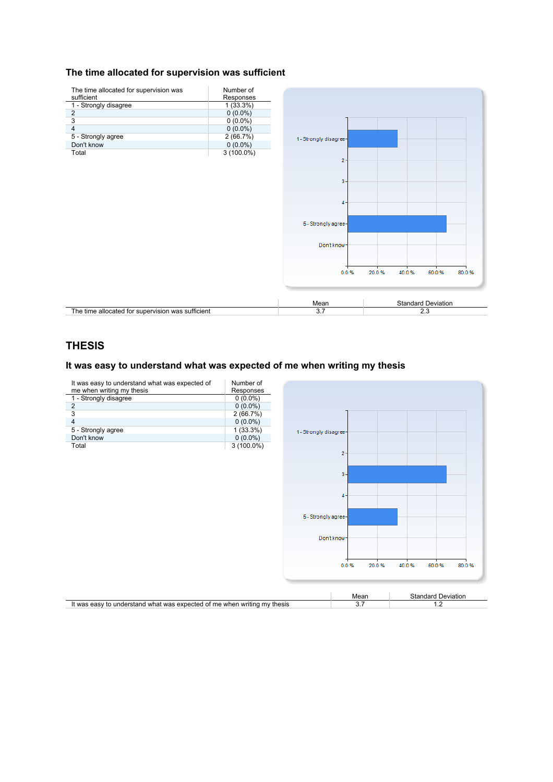#### **The time allocated for supervision was sufficient**



# **THESIS**

#### It was easy to understand what was expected of me when writing my thesis

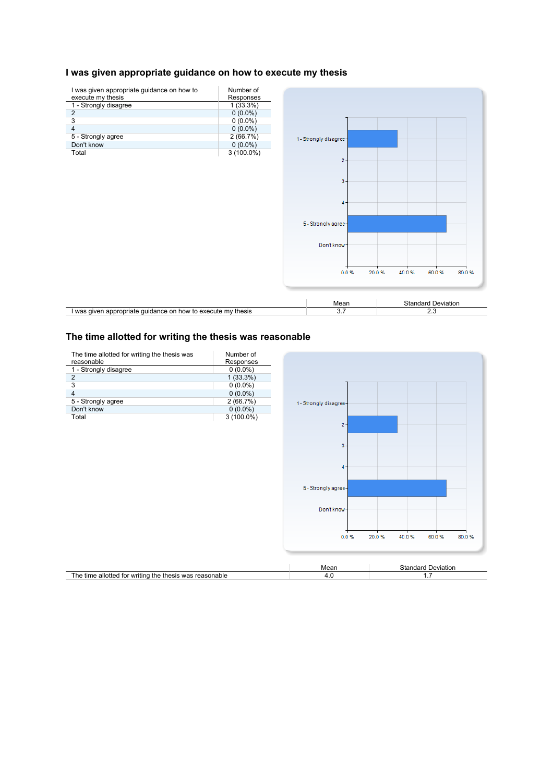#### **I was given appropriate guidance on how to execute my thesis**



#### **The time allotted for writing the thesis was reasonable**

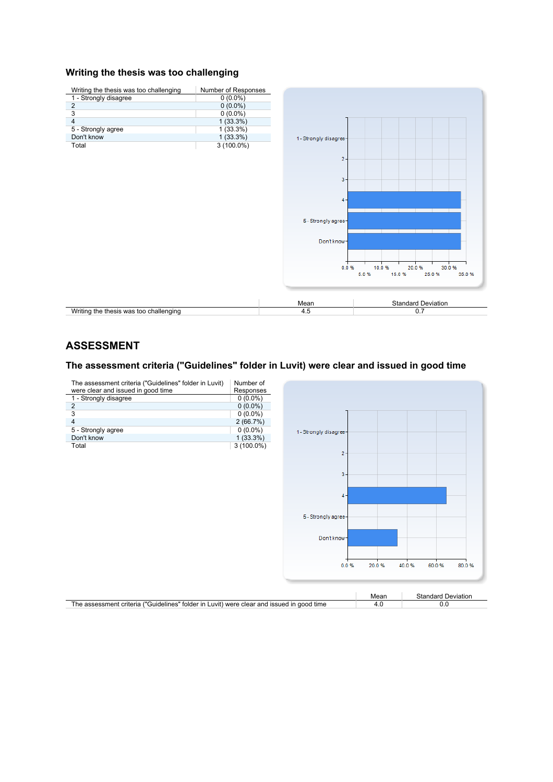#### **Writing the thesis was too challenging**



# **ASSESSMENT**

# **The assessment criteria ("Guidelines" folder in Luvit) were clear and issued in good time**

| The assessment criteria ("Guidelines" folder in Luvit)<br>were clear and issued in good time | Number of<br>Responses |                        |       |                           |
|----------------------------------------------------------------------------------------------|------------------------|------------------------|-------|---------------------------|
| 1 - Strongly disagree                                                                        | $0(0.0\%)$             |                        |       |                           |
| $\overline{2}$                                                                               | $0(0.0\%)$             |                        |       |                           |
| 3                                                                                            | $0(0.0\%)$             |                        |       |                           |
| $\overline{4}$                                                                               | 2(66.7%)               |                        |       |                           |
| 5 - Strongly agree                                                                           | $0(0.0\%)$             | 1 - Strongly disagree- |       |                           |
| Don't know                                                                                   | $1(33.3\%)$            |                        |       |                           |
| Total                                                                                        | $3(100.0\%)$           |                        |       |                           |
|                                                                                              |                        | $2 -$                  |       |                           |
|                                                                                              |                        |                        |       |                           |
|                                                                                              |                        | $3 -$                  |       |                           |
|                                                                                              |                        |                        |       |                           |
|                                                                                              |                        |                        |       |                           |
|                                                                                              |                        | $4 -$                  |       |                           |
|                                                                                              |                        |                        |       |                           |
|                                                                                              |                        |                        |       |                           |
|                                                                                              |                        | 5 - Strongly agree-    |       |                           |
|                                                                                              |                        |                        |       |                           |
|                                                                                              |                        | Don't know-            |       |                           |
|                                                                                              |                        |                        |       |                           |
|                                                                                              |                        |                        |       |                           |
|                                                                                              |                        |                        |       |                           |
|                                                                                              |                        | 0.0%                   | 20.0% | 40.0%<br>60.0%<br>80.0%   |
|                                                                                              |                        |                        |       |                           |
|                                                                                              |                        |                        |       |                           |
|                                                                                              |                        |                        | Mean  | <b>Standard Deviation</b> |
| The assessment criteria ("Guidelines" folder in Luvit) were clear and issued in good time    |                        |                        | 4.0   | 0.0                       |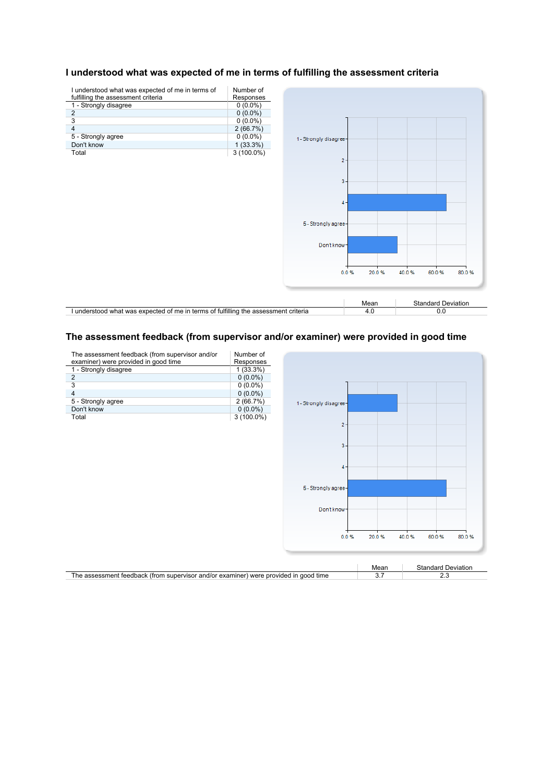

#### **I understood what was expected of me in terms of fulfilling the assessment criteria**

#### The assessment feedback (from supervisor and/or examiner) were provided in good time

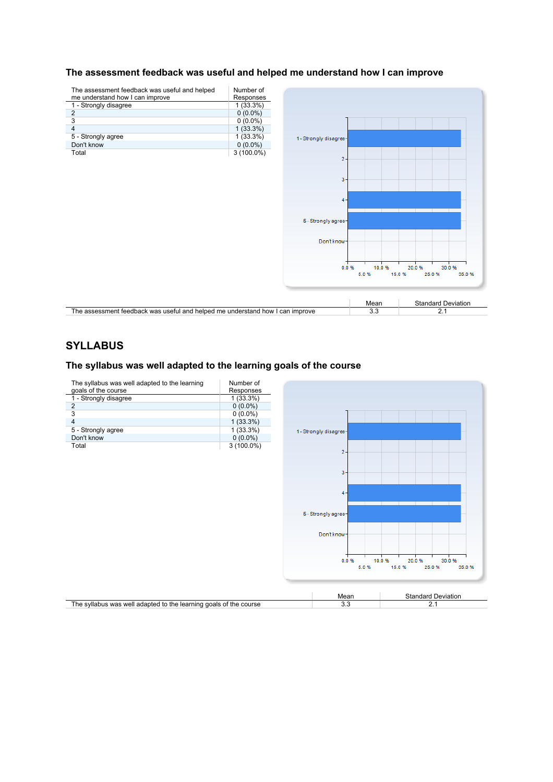



# **SYLLABUS**

#### **The syllabus was well adapted to the learning goals of the course**

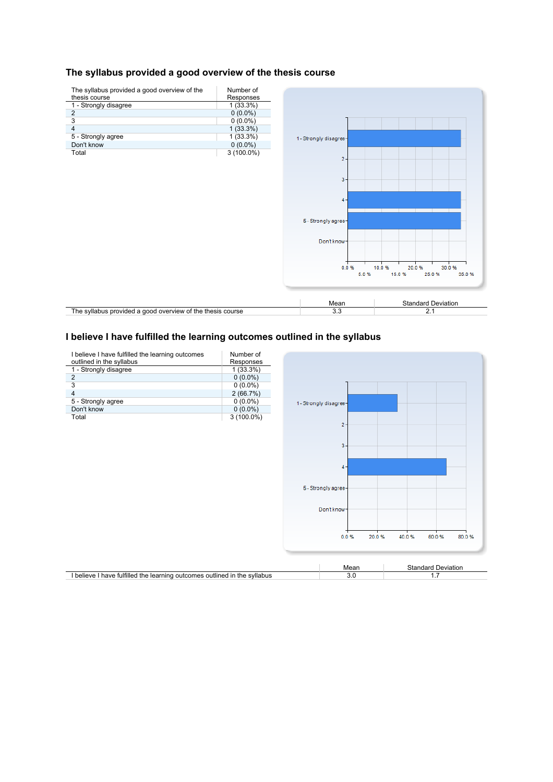#### **The syllabus provided a good overview of the thesis course**



# **I believe I have fulfilled the learning outcomes outlined in the syllabus**

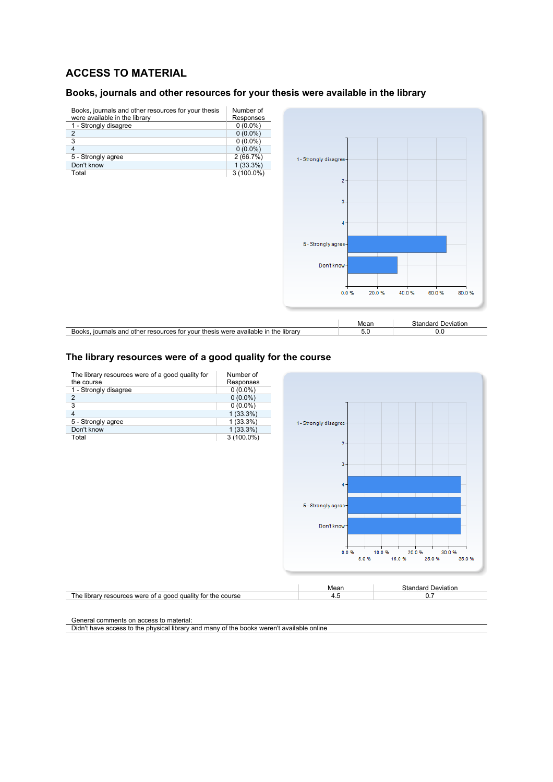# **ACCESS TO MATERIAL**

#### **Books, journals and other resources for your thesis were available in the library**



#### The library resources were of a good quality for the course



General comments on access to material:

Didn't have access to the physical library and many of the books weren't available online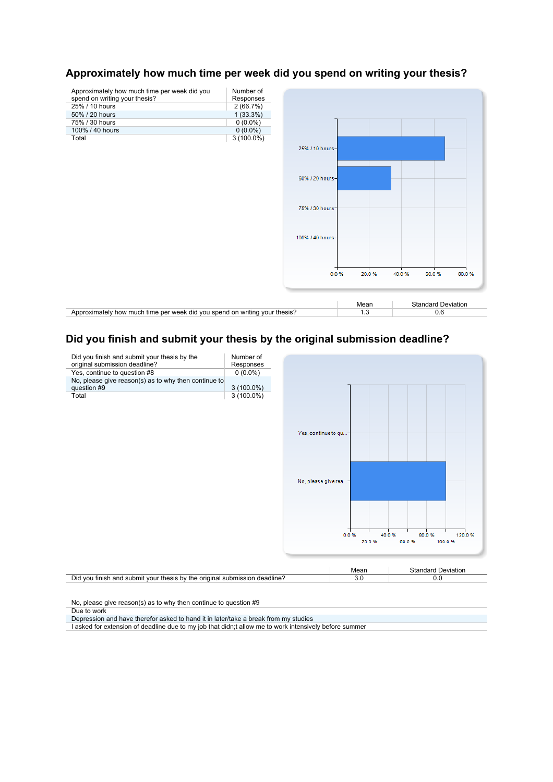

# **Approximately how much time per week did you spend on writing your thesis?**

# **Did you finish and submit your thesis by the original submission deadline?**



No, please give reason(s) as to why then continue to question #9

Due to work

Depression and have therefor asked to hand it in later/take a break from my studies

I asked for extension of deadline due to my job that didn;t allow me to work intensively before summer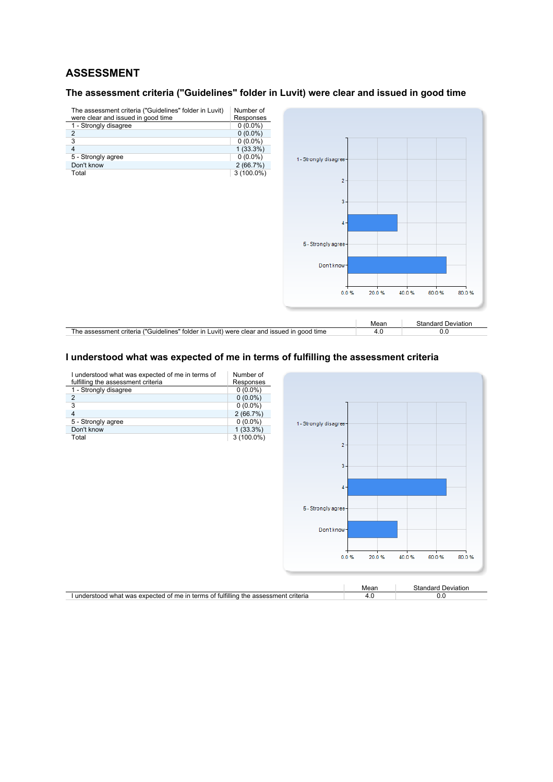# **ASSESSMENT**

### **The assessment criteria ("Guidelines" folder in Luvit) were clear and issued in good time**



# **I understood what was expected of me in terms of fulfilling the assessment criteria**

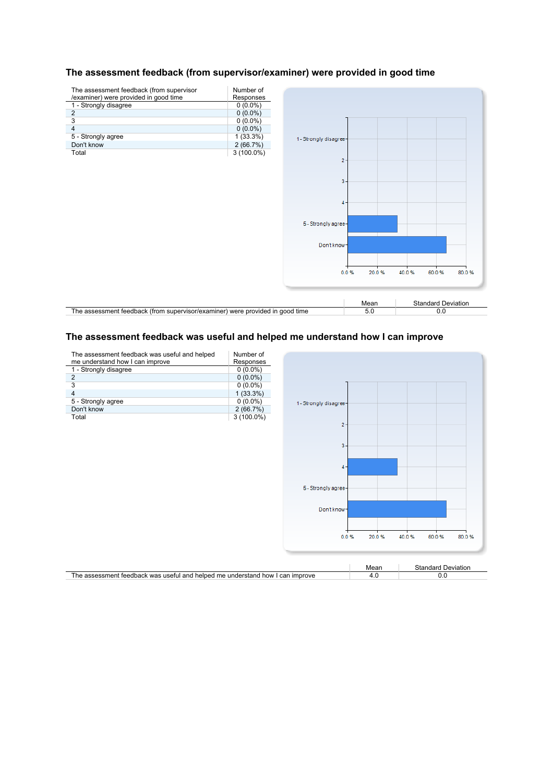

#### **The assessment feedback (from supervisor/examiner) were provided in good time**

#### **The assessment feedback was useful and helped me understand how I can improve**

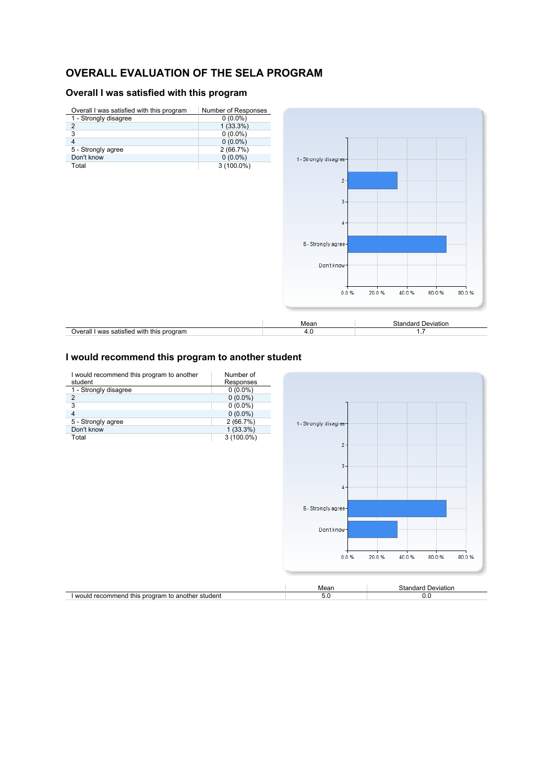# **OVERALL EVALUATION OF THE SELA PROGRAM**

# **Overall I was satisfied with this program**



#### **I would recommend this program to another student**

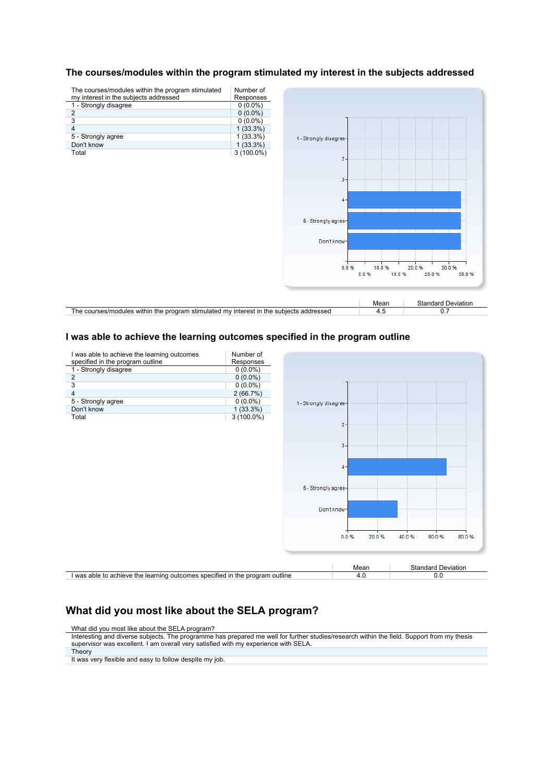#### **The courses/modules within the program stimulated my interest in the subjects addressed**

| The courses/modules within the program stimulated                                       | Number of    |                        |               |                           |
|-----------------------------------------------------------------------------------------|--------------|------------------------|---------------|---------------------------|
| my interest in the subjects addressed                                                   | Responses    |                        |               |                           |
| 1 - Strongly disagree                                                                   | $0(0.0\%)$   |                        |               |                           |
| $\overline{2}$                                                                          | $0(0.0\%)$   |                        |               |                           |
| 3                                                                                       | $0(0.0\%)$   |                        |               |                           |
| 4                                                                                       | $1(33.3\%)$  |                        |               |                           |
| 5 - Strongly agree                                                                      | $1(33.3\%)$  | 1 - Strongly disagree- |               |                           |
| Don't know                                                                              | $1(33.3\%)$  |                        |               |                           |
| Total                                                                                   | $3(100.0\%)$ |                        |               |                           |
|                                                                                         |              | $2 -$                  |               |                           |
|                                                                                         |              |                        |               |                           |
|                                                                                         |              | $3 -$                  |               |                           |
|                                                                                         |              |                        |               |                           |
|                                                                                         |              |                        |               |                           |
|                                                                                         |              | $4 -$                  |               |                           |
|                                                                                         |              |                        |               |                           |
|                                                                                         |              | 5 - Strongly agree-    |               |                           |
|                                                                                         |              |                        |               |                           |
|                                                                                         |              |                        |               |                           |
|                                                                                         |              | Don't know-            |               |                           |
|                                                                                         |              |                        |               |                           |
|                                                                                         |              |                        |               |                           |
|                                                                                         |              | 0.0%                   | 10.0%         | 20.0%<br>30.0%            |
|                                                                                         |              |                        | 5.0%<br>15.0% | 35.0%<br>25.0%            |
|                                                                                         |              |                        |               |                           |
|                                                                                         |              |                        |               |                           |
|                                                                                         |              |                        |               |                           |
|                                                                                         |              |                        | Mean          | <b>Standard Deviation</b> |
| The courses/modules within the program stimulated my interest in the subjects addressed |              |                        | 4.5           | 0.7                       |

#### **I was able to achieve the learning outcomes specified in the program outline**



# **What did you most like about the SELA program?**

What did you most like about the SELA program?

It was very flexible and easy to follow despite my job.

Interesting and diverse subjects. The programme has prepared me well for further studies/research within the field. Support from my thesis supervisor was excellent. I am overall very satisfied with my experience with SELA. **Theory**